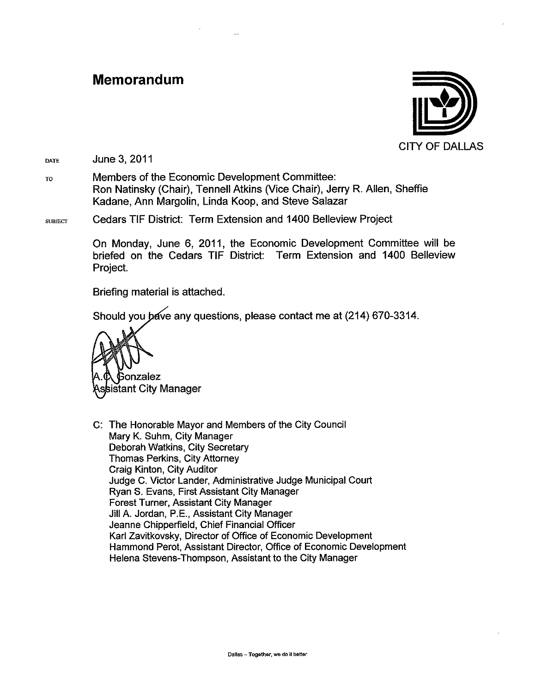#### Memorandum



June 3, 2011 DATE

Members of the Economic Development Committee: TO Ron Natinsky (Chair), Tennell Atkins (Vice Chair), Jerry R. Allen, Sheffie Kadane, Ann Margolin, Linda Koop, and Steve Salazar

#### Cedars TIF District: Term Extension and 1400 Belleview Project **SUBJECT**

On Monday, June 6, 2011, the Economic Development Committee will be briefed on the Cedars TIF District: Term Extension and 1400 Belleview Project.

Briefing material is attached.

Should you bave any questions, please contact me at (214) 670-3314.



C: The Honorable Mayor and Members of the City Council Mary K. Suhm, City Manager Deborah Watkins, City Secretary **Thomas Perkins, City Attorney** Craig Kinton, City Auditor Judge C. Victor Lander, Administrative Judge Municipal Court Ryan S. Evans, First Assistant City Manager Forest Turner, Assistant City Manager Jill A. Jordan, P.E., Assistant City Manager Jeanne Chipperfield, Chief Financial Officer Karl Zavitkovsky, Director of Office of Economic Development Hammond Perot, Assistant Director, Office of Economic Development Helena Stevens-Thompson, Assistant to the City Manager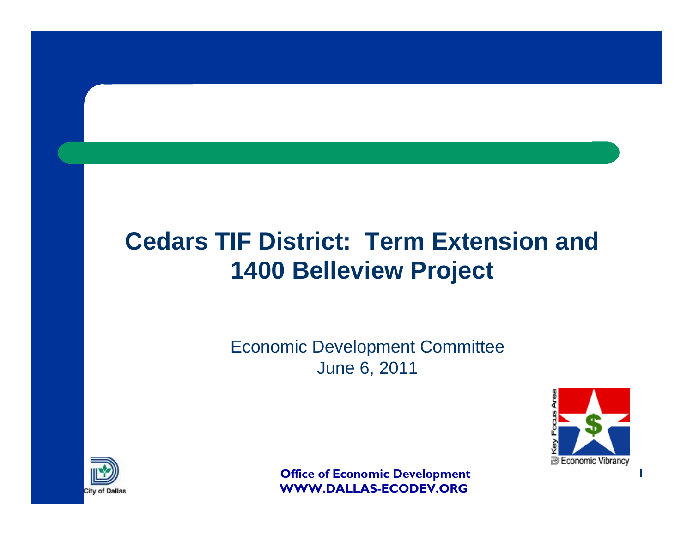# **Cedars TIF District: Term Extension and 1400 Belleview Project**

Economic Development Committee June 6, 2011



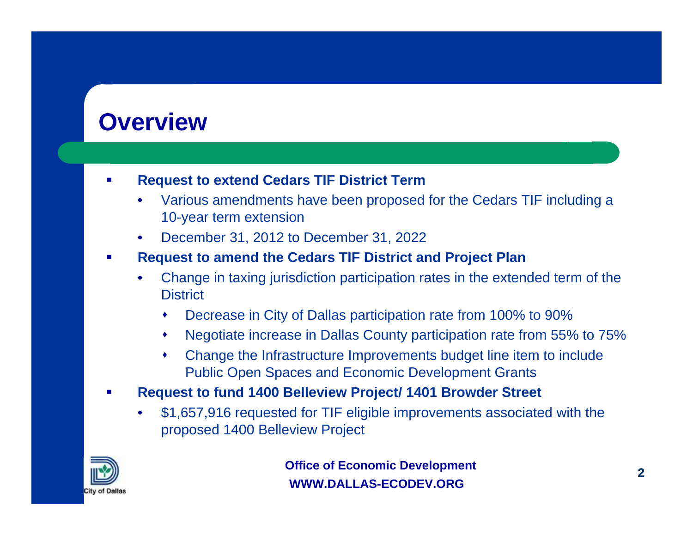### **Overview**

#### ш **Request to extend Cedars TIF District Term**

- Various amendments have been proposed for the Cedars TIF including a 10-year term extension
- December 31, 2012 to December 31, 2022

#### $\mathcal{L}_{\mathcal{A}}$ **Request to amend the Cedars TIF District and Project Plan**

- Change in taxing jurisdiction participation rates in the extended term of the **District** 
	- ٠ Decrease in City of Dallas participation rate from 100% to 90%
	- ٠ Negotiate increase in Dallas County participation rate from 55% to 75%
	- ٠ Change the Infrastructure Improvements budget line item to include Public Open Spaces and Economic Development Grants
- П **Request to fund 1400 Belleview Project/ 1401 Browder Street**
	- \$1,657,916 requested for TIF eligible improvements associated with the proposed 1400 Belleview Project

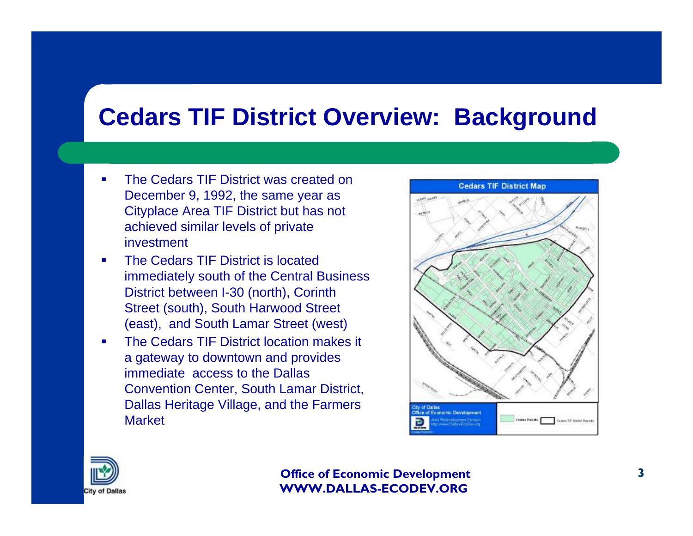### **Cedars TIF District Overview: Background**

- $\blacksquare$  The Cedars TIF District was created on December 9, 1992, the same year as Cityplace Area TIF District but has not achieved similar levels of private investment
- П The Cedars TIF District is located immediately south of the Central Business District between I-30 (north), Corinth Street (south), South Harwood Street (east), and South Lamar Street (west)
- П The Cedars TIF District location makes it a gateway to downtown and provides immediate access to the Dallas Convention Center, South Lamar District, Dallas Heritage Village, and the Farmers **Market**



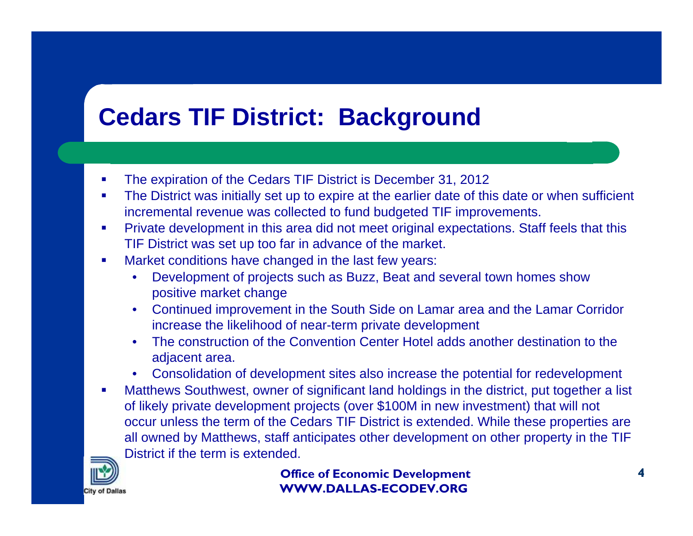# **Cedars TIF District: Background**

- $\blacksquare$ The expiration of the Cedars TIF District is December 31, 2012
- $\mathcal{L}_{\mathcal{A}}$  The District was initially set up to expire at the earlier date of this date or when sufficient incremental revenue was collected to fund budgeted TIF improvements.
- $\mathcal{L}_{\mathcal{A}}$  Private development in this area did not meet original expectations. Staff feels that this TIF District was set up too far in advance of the market.
- п Market conditions have changed in the last few years:
	- Development of projects such as Buzz, Beat and several town homes show positive market change
	- Continued improvement in the South Side on Lamar area and the Lamar Corridor increase the likelihood of near-term private development
	- The construction of the Convention Center Hotel adds another destination to the adjacent area.
	- Consolidation of development sites also increase the potential for redevelopment
- $\mathcal{L}_{\mathcal{A}}$  Matthews Southwest, owner of significant land holdings in the district, put together a list of likely private development projects (over \$100M in new investment) that will not occur unless the term of the Cedars TIF District is extended. While these properties are all owned by Matthews, staff anticipates other development on other property in the TIF District if the term is extended.

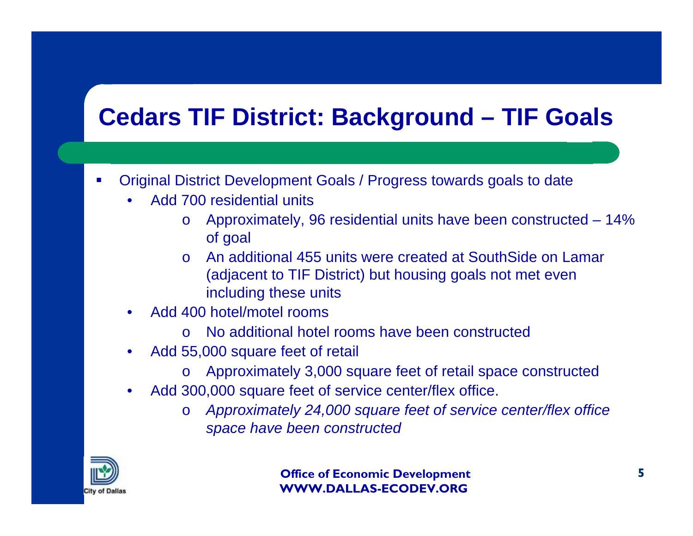# **Cedars TIF District: Background – TIF Goals**

- П Original District Development Goals / Progress towards goals to date
	- Add 700 residential units
		- o Approximately, 96 residential units have been constructed 14% of goal
		- o An additional 455 units were created at SouthSide on Lamar (adjacent to TIF District) but housing goals not met even including these units
	- Add 400 hotel/motel rooms
		- o No additional hotel rooms have been constructed
	- Add 55,000 square feet of retail
		- o Approximately 3,000 square feet of retail space constructed
	- Add 300,000 square feet of service center/flex office.
		- <sup>o</sup>*Approximately 24,000 square feet of service center/flex office space have been constructed*

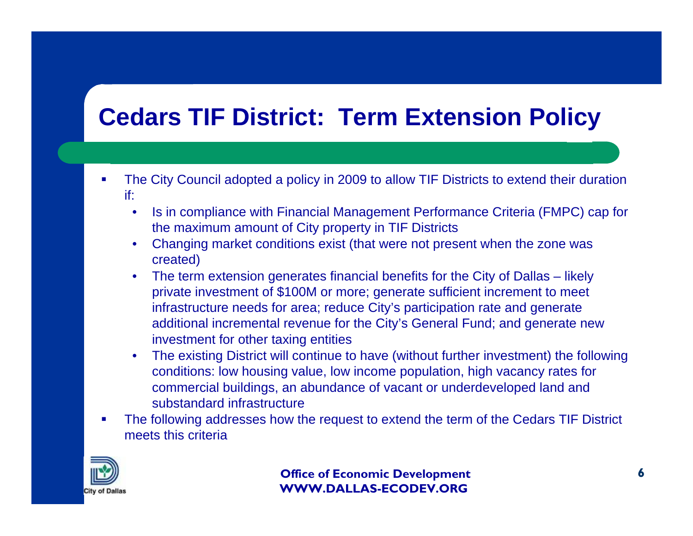- $\blacksquare$  The City Council adopted a policy in 2009 to allow TIF Districts to extend their duration if:
	- Is in compliance with Financial Management Performance Criteria (FMPC) cap for the maximum amount of City property in TIF Districts
	- Changing market conditions exist (that were not present when the zone was created)
	- The term extension generates financial benefits for the City of Dallas likely private investment of \$100M or more; generate sufficient increment to meet infrastructure needs for area; reduce City's participation rate and generate additional incremental revenue for the City's General Fund; and generate new investment for other taxing entities
	- The existing District will continue to have (without further investment) the following conditions: low housing value, low income population, high vacancy rates for commercial buildings, an abundance of vacant or underdeveloped land and substandard infrastructure
- $\mathcal{L}_{\mathcal{A}}$  The following addresses how the request to extend the term of the Cedars TIF District meets this criteria

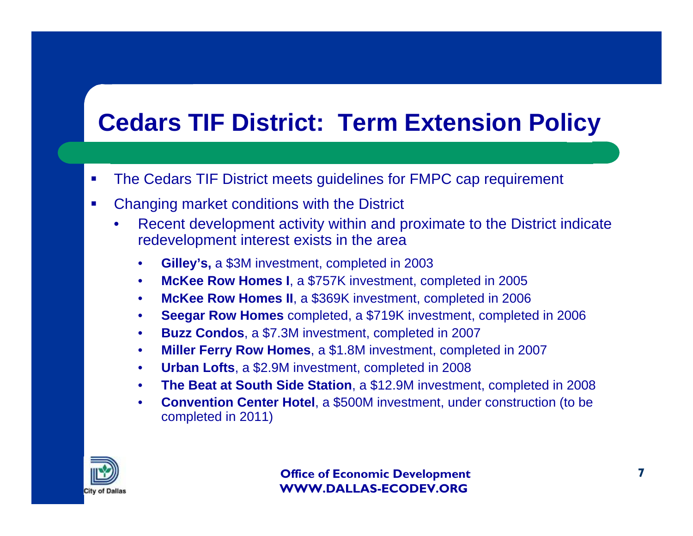- $\mathcal{L}_{\mathcal{A}}$ The Cedars TIF District meets guidelines for FMPC cap requirement
- $\mathcal{L}_{\mathcal{A}}$  Changing market conditions with the District
	- Recent development activity within and proximate to the District indicate redevelopment interest exists in the area
		- **Gilley's,** a \$3M investment, completed in 2003
		- **McKee Row Homes I**, a \$757K investment, completed in 2005
		- **McKee Row Homes II**, a \$369K investment, completed in 2006
		- **Seegar Row Homes** completed, a \$719K investment, completed in 2006
		- **Buzz Condos**, a \$7.3M investment, completed in 2007
		- **Miller Ferry Row Homes**, a \$1.8M investment, completed in 2007
		- **Urban Lofts**, a \$2.9M investment, completed in 2008
		- **The Beat at South Side Station**, a \$12.9M investment, completed in 2008
		- **Convention Center Hotel**, a \$500M investment, under construction (to be completed in 2011)

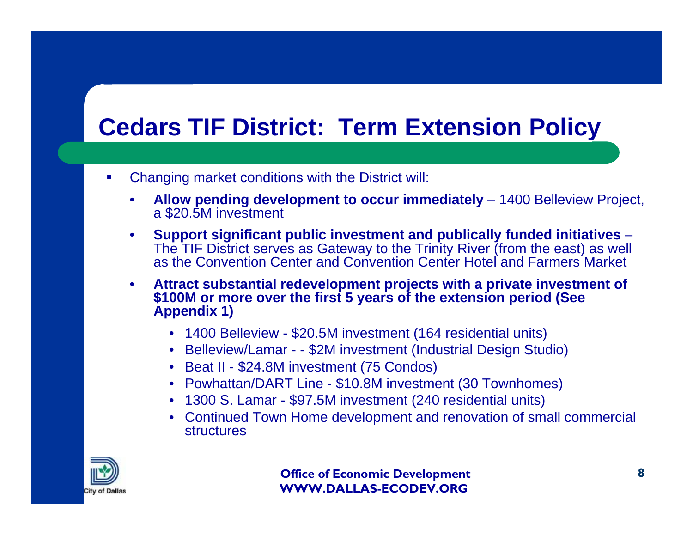- ш Changing market conditions with the District will:
	- **Allow pending development to occur immediately**  1400 Belleview Project, a \$20.5M investment
	- **Support significant public investment and publically funded initiatives**  The TIF District serves as Gateway to the Trinity River (from the east) as well as the Convention Center and Convention Center Hotel and Farmers Market
	- **Attract substantial redevelopment projects with a private investment of \$100M or more over the first 5 years of the extension period (See Appendix 1)**
		- 1400 Belleview \$20.5M investment (164 residential units)
		- Belleview/Lamar - \$2M investment (Industrial Design Studio)
		- Beat II \$24.8M investment (75 Condos)
		- Powhattan/DART Line \$10.8M investment (30 Townhomes)
		- 1300 S. Lamar \$97.5M investment (240 residential units)
		- Continued Town Home development and renovation of small commercial structures

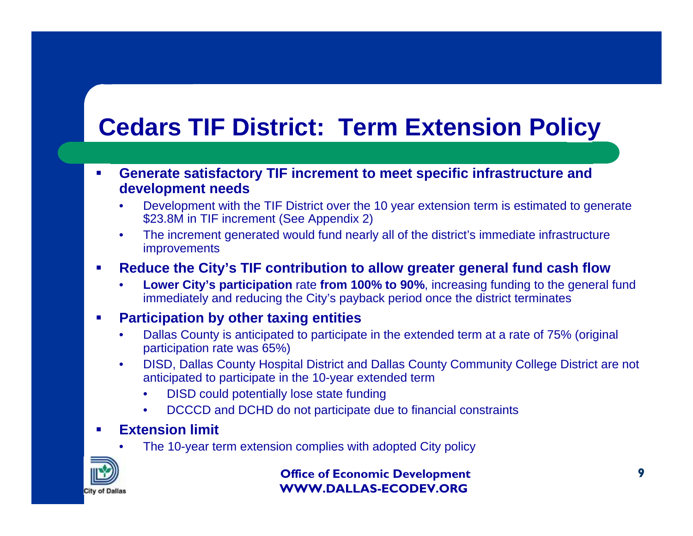- $\blacksquare$  **Generate satisfactory TIF increment to meet specific infrastructure and development needs**
	- Development with the TIF District over the 10 year extension term is estimated to generate \$23.8M in TIF increment (See Appendix 2)
	- The increment generated would fund nearly all of the district's immediate infrastructure improvements

#### $\mathcal{L}_{\mathcal{A}}$ **Reduce the City's TIF contribution to allow greater general fund cash flow**

• **Lower City's participation** rate **from 100% to 90%**, increasing funding to the general fund immediately and reducing the City's payback period once the district terminates

#### $\mathcal{L}_{\mathcal{A}}$ **Participation by other taxing entities**

- Dallas County is anticipated to participate in the extended term at a rate of 75% (original participation rate was 65%)
- DISD, Dallas County Hospital District and Dallas County Community College District are not anticipated to participate in the 10-year extended term
	- DISD could potentially lose state funding
	- DCCCD and DCHD do not participate due to financial constraints

#### П **Extension limit**

The 10-year term extension complies with adopted City policy

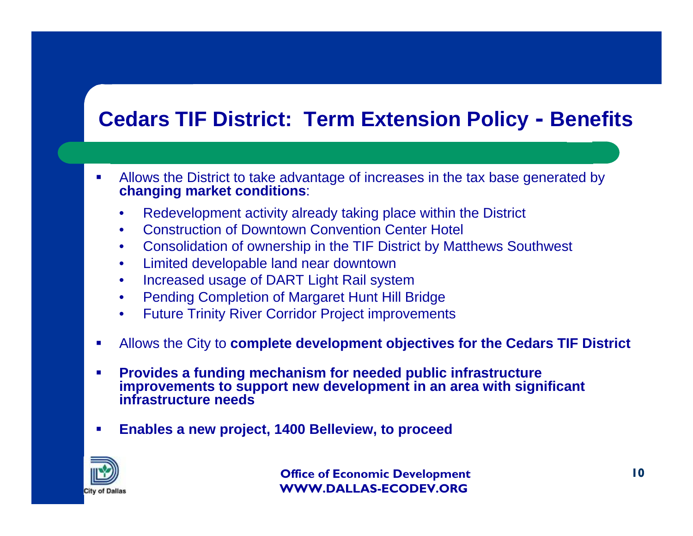#### **Cedars TIF District: Term Extension Policy - Benefits**

- $\mathcal{L}_{\mathcal{A}}$  Allows the District to take advantage of increases in the tax base generated by **changing market conditions**:
	- Redevelopment activity already taking place within the District
	- Construction of Downtown Convention Center Hotel
	- Consolidation of ownership in the TIF District by Matthews Southwest
	- Limited developable land near downtown
	- Increased usage of DART Light Rail system
	- Pending Completion of Margaret Hunt Hill Bridge
	- Future Trinity River Corridor Project improvements
- П Allows the City to **complete development objectives for the Cedars TIF District**
- П **Provides a funding mechanism for needed public infrastructure improvements to support new development in an area with significant infrastructure needs**
- ▉ **Enables a new project, 1400 Belleview, to proceed**

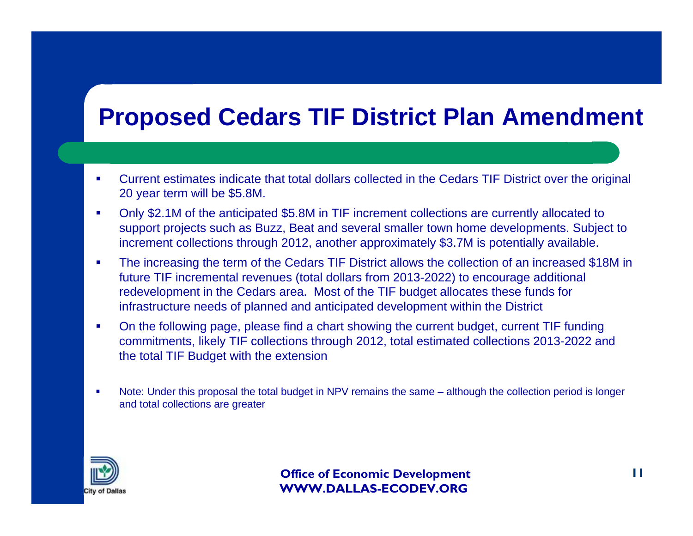## **Proposed Cedars TIF District Plan Amendment**

- $\mathbf{r}$  Current estimates indicate that total dollars collected in the Cedars TIF District over the original 20 year term will be \$5.8M.
- $\overline{\phantom{a}}$  Only \$2.1M of the anticipated \$5.8M in TIF increment collections are currently allocated to support projects such as Buzz, Beat and several smaller town home developments. Subject to increment collections through 2012, another approximately \$3.7M is potentially available.
- $\mathbf{r}$  The increasing the term of the Cedars TIF District allows the collection of an increased \$18M in future TIF incremental revenues (total dollars from 2013-2022) to encourage additional redevelopment in the Cedars area. Most of the TIF budget allocates these funds for infrastructure needs of planned and anticipated development within the District
- $\blacksquare$  On the following page, please find a chart showing the current budget, current TIF funding commitments, likely TIF collections through 2012, total estimated collections 2013-2022 and the total TIF Budget with the extension
- Г Note: Under this proposal the total budget in NPV remains the same – although the collection period is longer and total collections are greater

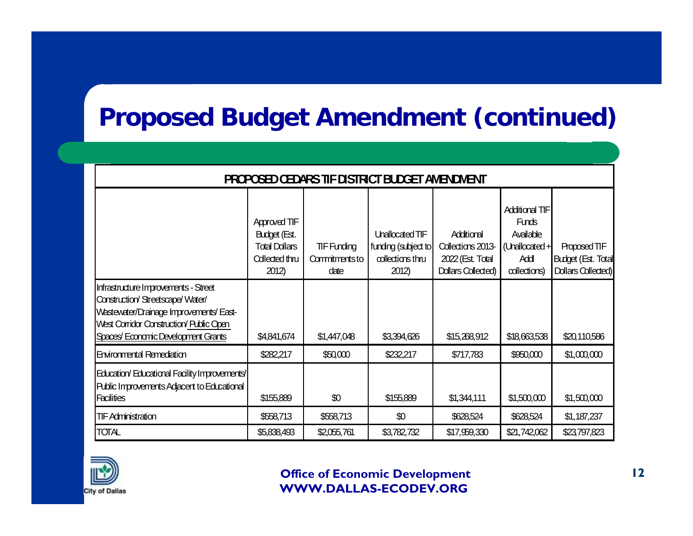# **Proposed Budget Amendment (continued)**

| <b>PROPOSED CEDARS TIF DISTRICT BUDGET AMENDMENT</b>                                                                                                                                               |                                                                                |                                             |                                                                     |                                                                           |                                                                                             |                                                          |  |  |
|----------------------------------------------------------------------------------------------------------------------------------------------------------------------------------------------------|--------------------------------------------------------------------------------|---------------------------------------------|---------------------------------------------------------------------|---------------------------------------------------------------------------|---------------------------------------------------------------------------------------------|----------------------------------------------------------|--|--|
|                                                                                                                                                                                                    | Approved TIF<br>Budget (Est.<br><b>Total Dollars</b><br>Collected thru<br>2012 | <b>TIF Funding</b><br>Commitmentsto<br>date | Unallocated TIF<br>funding (subject to<br>collections thru<br>2012) | Additional<br>Collections 2013-<br>2022 (Est. Total<br>Dollars Collected) | <b>Additional TIF</b><br><b>Funds</b><br>Available<br>(Unallocated +<br>Add<br>collections) | Proposed TIF<br>Budget (Est. Total<br>Dollars Collected) |  |  |
| Infrastructure Improvements - Street<br>Construction/Streetscape/Water/<br>Wastewater/Drainage Improvements/East-<br>West Corridor Construction/ Public Open<br>Spaces/Economic Development Grants | \$4,841,674                                                                    | \$1,447,048                                 | \$3,394,626                                                         | \$15,268,912                                                              | \$18,663,538                                                                                | \$20,110,586                                             |  |  |
| <b>Environmental Remediation</b>                                                                                                                                                                   | \$282,217                                                                      | \$50,000                                    | \$232,217                                                           | \$717,783                                                                 | \$950,000                                                                                   | \$1,000,000                                              |  |  |
| Education/Educational Facility Improvements/<br>Public Improvements Adjacent to Educational<br><b>Facilities</b>                                                                                   | \$155,889                                                                      | $\pmb{\mathcal{R}}$                         | \$155,889                                                           | \$1,344,111                                                               | \$1,500,000                                                                                 | \$1,500,000                                              |  |  |
| <b>TIF Administration</b>                                                                                                                                                                          | \$558,713                                                                      | \$558,713                                   | $\pmb{\mathcal{R}}$                                                 | \$628,524                                                                 | \$628,524                                                                                   | \$1,187,237                                              |  |  |
| TOTAL                                                                                                                                                                                              | \$5,838,493                                                                    | \$2,055,761                                 | \$3,782,732                                                         | \$17,959,330                                                              | \$21,742,062                                                                                | \$23,797,823                                             |  |  |

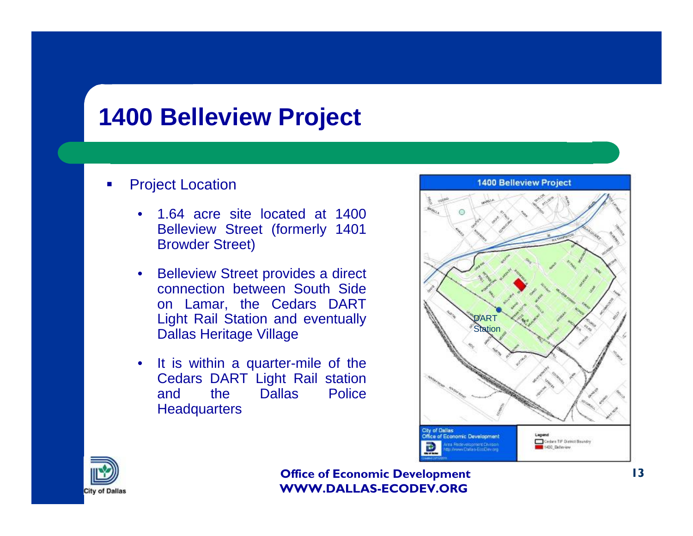## **1400 Belleview Project**

#### н Project Location

- 1.64 acre site located at 1400 Belleview Street (formerly 1401 Browder Street)
- **Belleview Street provides a direct** connection between South Side on Lamar, the Cedars DART Light Rail Station and eventually Dallas Heritage Village
- It is within a quarter-mile of the Cedars DART Light Rail station and the Dallas Police **Headquarters**



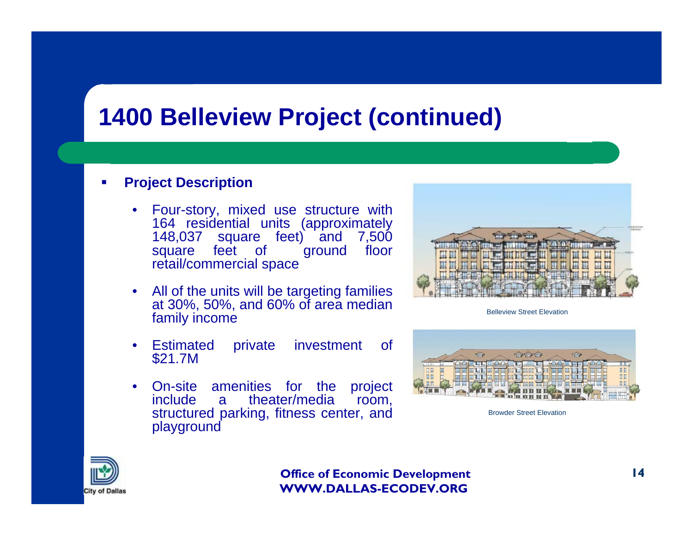### **1400 Belleview Project (continued)**

#### ш **Project Description**

- Four-story, mixed use structure with 164 residential units (approximately 148,037 square feet) and 7,500 square feet of retail/commercial space
- All of the units will be targeting families at 30%, 50%, and 60% of area median family income
- Estimated private investment of \$21.7M
- On-site amenities for the project<br>include a theater/media room. a theater/media room, structured parking, fitness center, and playground



Belleview Street Elevation



Browder Street Elevation

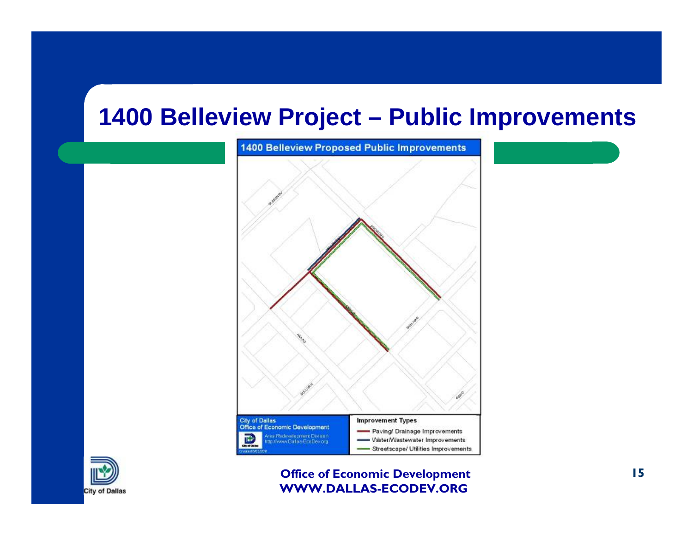#### **1400 Belleview Project – Public Improvements**



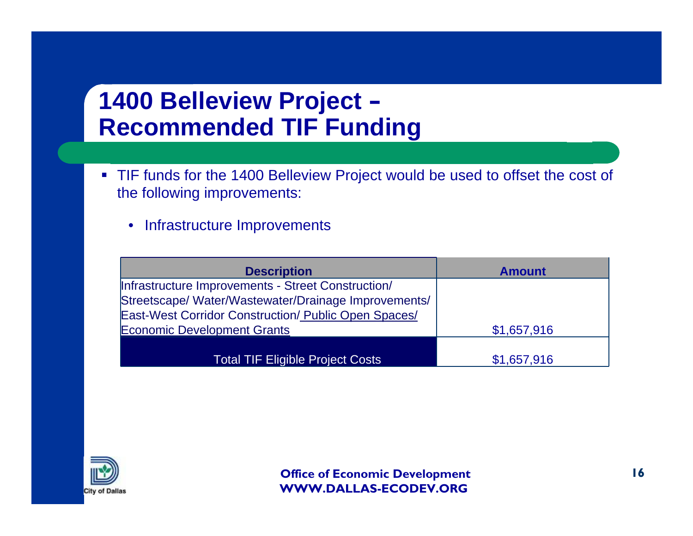## **1400 Belleview Project – Recommended TIF Funding**

- TIF funds for the 1400 Belleview Project would be used to offset the cost of the following improvements:
	- Infrastructure Improvements

| <b>Description</b>                                   | <b>Amount</b> |
|------------------------------------------------------|---------------|
| Infrastructure Improvements - Street Construction/   |               |
| Streetscape/ Water/Wastewater/Drainage Improvements/ |               |
| East-West Corridor Construction/ Public Open Spaces/ |               |
| <b>Economic Development Grants</b>                   | \$1,657,916   |
|                                                      |               |
| <b>Total TIF Eligible Project Costs</b>              | \$1,657,916   |

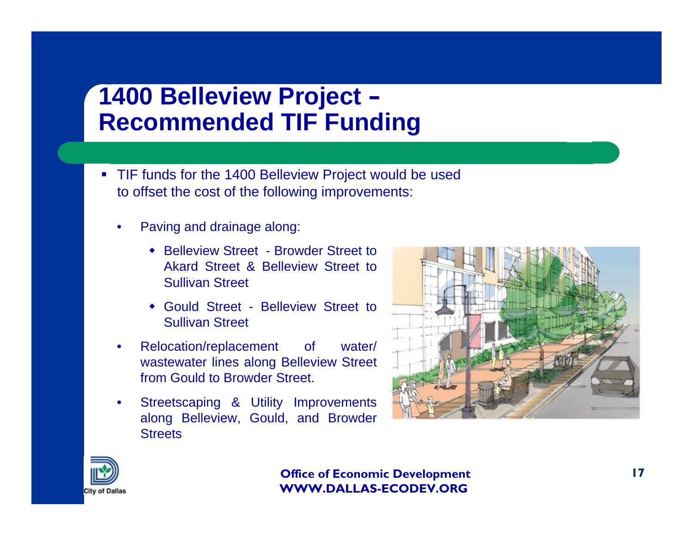# **1400 Belleview Project – Recommended TIF Funding**

- TIF funds for the 1400 Belleview Project would be used to offset the cost of the following improvements:
	- Paving and drainage along:
		- **\*** Belleview Street Browder Street to Akard Street & Belleview Street to Sullivan Street
		- Gould Street Belleview Street to Sullivan Street
	- Relocation/replacement of water/ wastewater lines along Belleview Street from Gould to Browder Street.
	- Streetscaping & Utility Improvements along Belleview, Gould, and Browder **Streets**



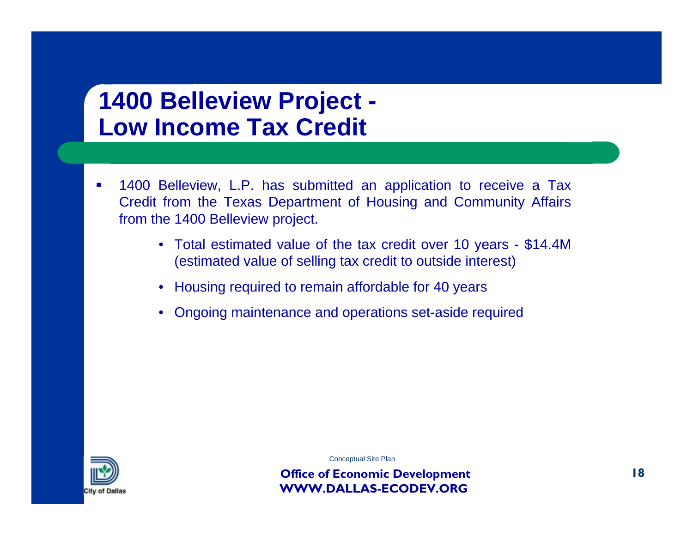## **1400 Belleview Project - Low Income Tax Credit**

- $\mathcal{C}^{\mathcal{A}}$  1400 Belleview, L.P. has submitted an application to receive a Tax Credit from the Texas Department of Housing and Community Affairs from the 1400 Belleview project.
	- Total estimated value of the tax credit over 10 years \$14.4M (estimated value of selling tax credit to outside interest)
	- Housing required to remain affordable for 40 years
	- Ongoing maintenance and operations set-aside required



Conceptual Site Plan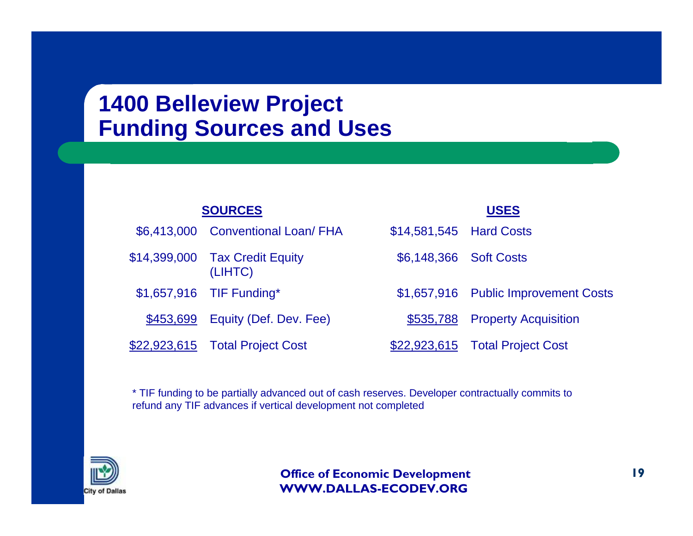### **1400 Belleview Project Funding Sources and Uses**

|  | <b>SOURCES</b> |  |
|--|----------------|--|
|  |                |  |

| \$6,413,000 Conventional Loan/ FHA        | \$14,581,545 Hard Costs |                                      |
|-------------------------------------------|-------------------------|--------------------------------------|
| \$14,399,000 Tax Credit Equity<br>(LIHTC) | \$6,148,366 Soft Costs  |                                      |
| \$1,657,916 TIF Funding*                  |                         | \$1,657,916 Public Improvement Costs |
| \$453,699    Equity (Def. Dev. Fee)       |                         | \$535,788 Property Acquisition       |
| \$22,923,615    Total Project Cost        |                         | \$22,923,615  Total Project Cost     |

**USES**

\* TIF funding to be partially advanced out of cash reserves. Developer contractually commits to refund any TIF advances if vertical development not completed

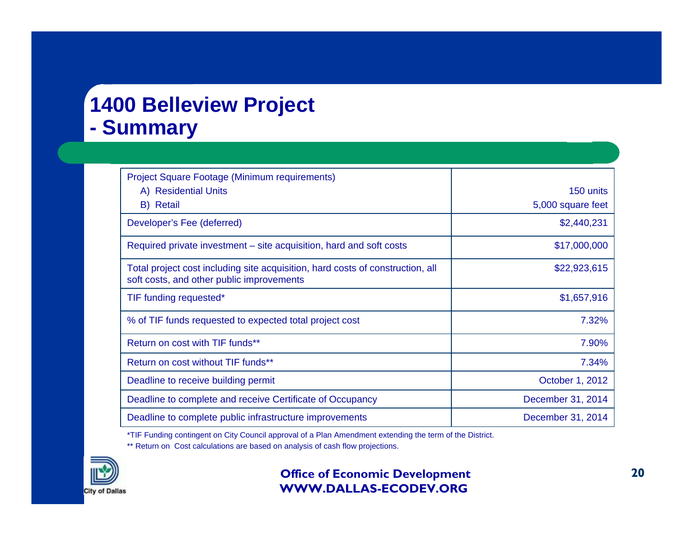### **1400 Belleview Project - Summary**

| <b>Project Square Footage (Minimum requirements)</b>                                                                        |                   |
|-----------------------------------------------------------------------------------------------------------------------------|-------------------|
| A) Residential Units                                                                                                        | 150 units         |
| B) Retail                                                                                                                   | 5,000 square feet |
| Developer's Fee (deferred)                                                                                                  | \$2,440,231       |
| Required private investment – site acquisition, hard and soft costs                                                         | \$17,000,000      |
| Total project cost including site acquisition, hard costs of construction, all<br>soft costs, and other public improvements | \$22,923,615      |
| TIF funding requested*                                                                                                      | \$1,657,916       |
| % of TIF funds requested to expected total project cost                                                                     | 7.32%             |
| Return on cost with TIF funds**                                                                                             | 7.90%             |
| Return on cost without TIF funds**                                                                                          | 7.34%             |
| Deadline to receive building permit                                                                                         | October 1, 2012   |
| Deadline to complete and receive Certificate of Occupancy                                                                   | December 31, 2014 |
| Deadline to complete public infrastructure improvements                                                                     | December 31, 2014 |

\*TIF Funding contingent on City Council approval of a Plan Amendment extending the term of the District.

\*\* Return on Cost calculations are based on analysis of cash flow projections.

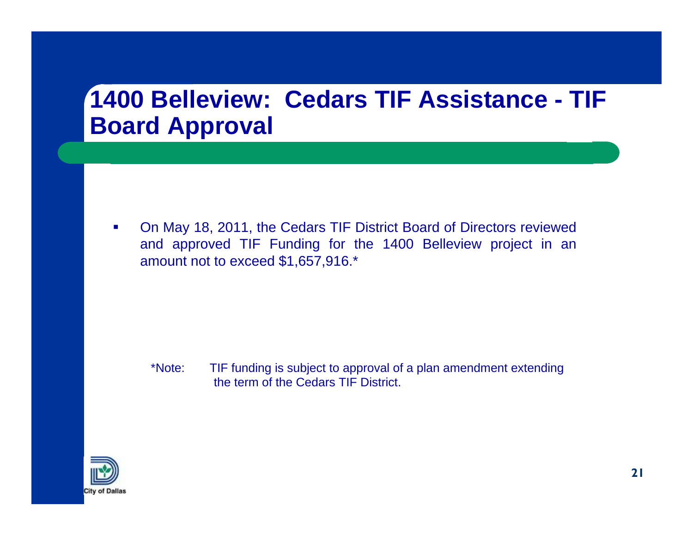### **1400 Belleview: Cedars TIF Assistance - TIF Board Approval**

 $\mathcal{L}_{\mathcal{A}}$  On May 18, 2011, the Cedars TIF District Board of Directors reviewed and approved TIF Funding for the 1400 Belleview project in an amount not to exceed \$1,657,916.\*

\*Note: TIF funding is subject to approval of a plan amendment extending the term of the Cedars TIF District.

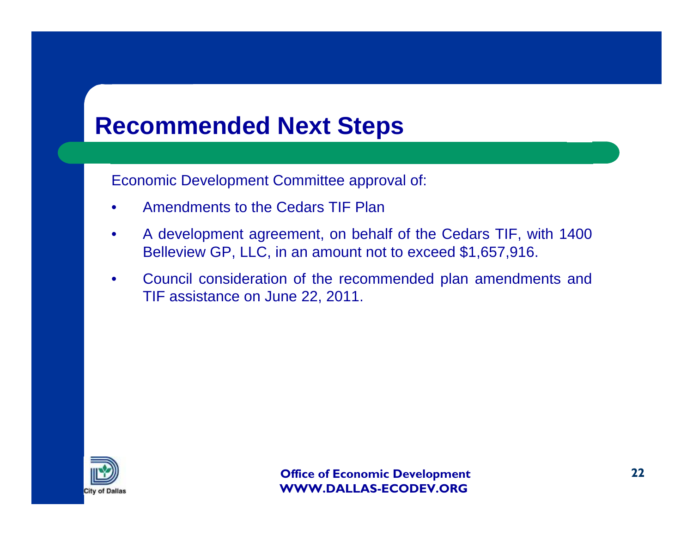## **Recommended Next Steps**

Economic Development Committee approval of:

- Amendments to the Cedars TIF Plan
- A development agreement, on behalf of the Cedars TIF, with 1400 Belleview GP, LLC, in an amount not to exceed \$1,657,916.
- Council consideration of the recommended plan amendments and TIF assistance on June 22, 2011.

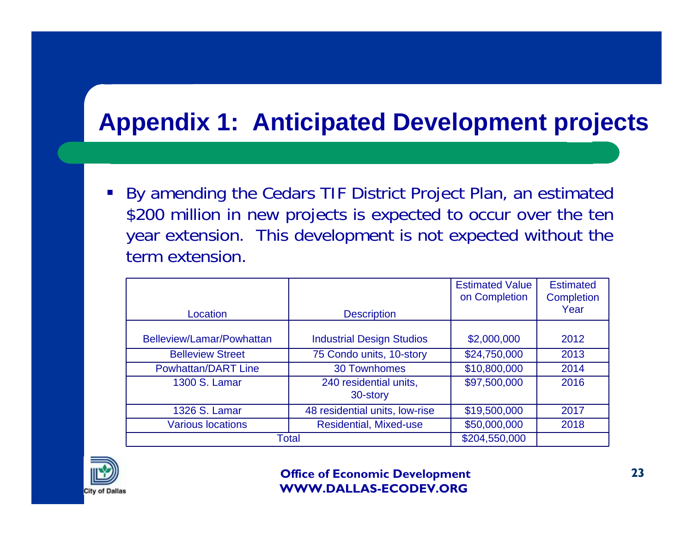# **Appendix 1: Anticipated Development projects**

 By amending the Cedars TIF District Project Plan, an estimated \$200 million in new projects is expected to occur over the ten year extension. This development is not expected without the term extension.

| Location                   | <b>Description</b>                 | <b>Estimated Value</b><br>on Completion | <b>Estimated</b><br><b>Completion</b><br>Year |
|----------------------------|------------------------------------|-----------------------------------------|-----------------------------------------------|
|                            |                                    |                                         |                                               |
| Belleview/Lamar/Powhattan  | <b>Industrial Design Studios</b>   | \$2,000,000                             | 2012                                          |
| <b>Belleview Street</b>    | 75 Condo units, 10-story           | \$24,750,000                            | 2013                                          |
| <b>Powhattan/DART Line</b> | <b>30 Townhomes</b>                | \$10,800,000                            | 2014                                          |
| 1300 S. Lamar              | 240 residential units,<br>30-story | \$97,500,000                            | 2016                                          |
| 1326 S. Lamar              | 48 residential units, low-rise     | \$19,500,000                            | 2017                                          |
| <b>Various locations</b>   | <b>Residential, Mixed-use</b>      | \$50,000,000                            | 2018                                          |
|                            | <b>Total</b>                       | \$204,550,000                           |                                               |

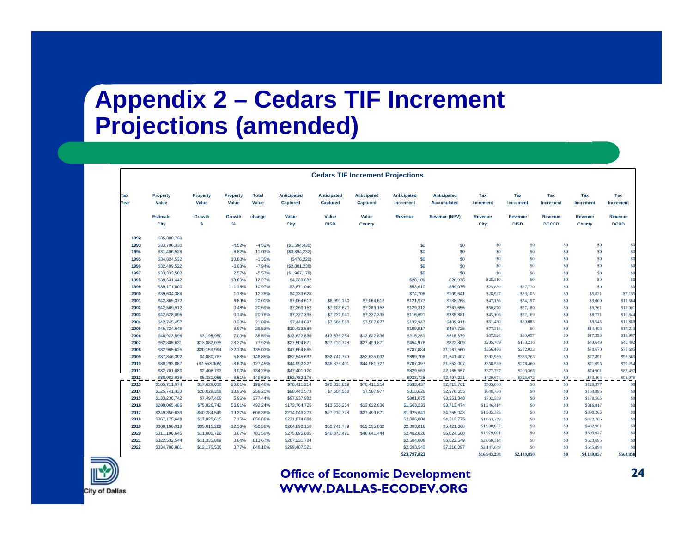# **Appendix 2 – Cedars TIF Increment Projections (amended)**

|             | <b>Cedars TIF Increment Projections</b> |                          |                          |                       |                                |                                       |                                       |                                        |                                          |                         |                               |                         |                         |                               |
|-------------|-----------------------------------------|--------------------------|--------------------------|-----------------------|--------------------------------|---------------------------------------|---------------------------------------|----------------------------------------|------------------------------------------|-------------------------|-------------------------------|-------------------------|-------------------------|-------------------------------|
| Tax<br>Year | <b>Property</b><br>Value                | <b>Property</b><br>Value | <b>Property</b><br>Value | <b>Total</b><br>Value | Anticipated<br><b>Captured</b> | <b>Anticipated</b><br><b>Captured</b> | <b>Anticipated</b><br><b>Captured</b> | <b>Anticipated</b><br><b>Increment</b> | <b>Anticipated</b><br><b>Accumulated</b> | Tax<br><b>Increment</b> | Tax<br><b>Increment</b>       | Tax<br><b>Increment</b> | Tax<br><b>Increment</b> | Tax<br><b>Increment</b>       |
|             | <b>Estimate</b><br>City                 | Growth<br><b>s</b>       | Growth<br>%              | change                | Value<br>City                  | Value<br><b>DISD</b>                  | Value<br><b>County</b>                | <b>Revenue</b>                         | <b>Revenue (NPV)</b>                     | <b>Revenue</b><br>City  | <b>Revenue</b><br><b>DISD</b> | Revenue<br><b>DCCCD</b> | Revenue<br>County       | <b>Revenue</b><br><b>DCHD</b> |
| 1992        | \$35,300,760                            |                          |                          |                       |                                |                                       |                                       |                                        |                                          |                         |                               |                         |                         |                               |
| 1993        | \$33,706,330                            |                          | $-4.52%$                 | $-4.52%$              | (\$1,594,430)                  |                                       |                                       | \$0                                    | \$0                                      | \$0                     | \$0                           | \$0                     | \$0                     |                               |
| 1994        | \$31,406,528                            |                          | $-6.82%$                 | $-11.03%$             | (\$3,894,232)                  |                                       |                                       | \$0                                    | \$0                                      | \$0                     | \$0                           | \$0                     | \$0                     |                               |
| 1995        | \$34,824,532                            |                          | 10.88%                   | $-1.35%$              | (\$476,228)                    |                                       |                                       | \$0                                    | \$0                                      | \$0                     | \$0                           | S <sub>0</sub>          | \$0                     | \$0                           |
| 1996        | \$32,499.522                            |                          | $-6.68%$                 | $-7.94%$              | (\$2,801,238)                  |                                       |                                       | \$0                                    | \$0                                      | \$0                     | \$0                           | \$0                     | \$0                     | \$0                           |
| 1997        | \$33,333,582                            |                          | 2.57%                    | $-5.57%$              | (\$1,967,178)                  |                                       |                                       | \$0                                    | \$0                                      | S <sub>0</sub>          | \$0                           | \$0                     | \$0                     | \$0                           |
| 1998        | \$39,631,442                            |                          | 18.89%                   | 12.27%                | \$4,330,682                    |                                       |                                       | \$28,109                               | \$20,976                                 | \$28,110                | \$0                           | \$0                     | \$0                     | \$0                           |
| 1999        | \$39,171,800                            |                          | $-1.16%$                 | 10.97%                | \$3,871,040                    |                                       |                                       | \$53,610                               | \$59,075                                 | \$25,839                | \$27,770                      | \$0                     | \$0                     | so                            |
| 2000        | \$39,634,388                            |                          | 1.18%                    | 12.28%                | \$4,333,628                    |                                       |                                       | \$74,708                               | \$109,641                                | \$28,927                | \$33,105                      | S <sub>0</sub>          | \$5,521                 | \$7,155                       |
| 2001        | \$42,365,372                            |                          | 6.89%                    | 20.01%                | \$7,064,612                    | \$6,999,130                           | \$7,064,612                           | \$121,977                              | \$188,268                                | \$47,156                | \$54,157                      | \$0                     | \$9,000                 | \$11,664                      |
| 2002        | \$42,569,912                            |                          | 0.48%                    | 20.59%                | \$7,269,152                    | \$7,203,670                           | \$7,269,152                           | \$129,312                              | \$267,655                                | \$50,870                | \$57,180                      | \$0                     | \$9,261                 | \$12,001                      |
| 2003        | \$42,628,095                            |                          | 0.14%                    | 20.76%                | \$7,327,335                    | \$7,232,940                           | \$7,327,335                           | \$116,691                              | \$335,881                                | \$45,106                | \$52,169                      | \$0                     | \$8,771                 | \$10,644                      |
| 2004        | \$42,745,457                            |                          | 0.28%                    | 21.09%                | \$7,444,697                    | \$7,504,568                           | \$7,507,977                           | \$132,947                              | \$409,911                                | \$51,430                | \$60,083                      | \$0                     | \$9,545                 | \$11,889                      |
| 2005        | \$45,724,646                            |                          | 6.97%                    | 29.53%                | \$10,423,886                   |                                       |                                       | \$109,017                              | \$467,725                                | \$77,314                | \$0                           | \$0                     | \$14,493                | \$17,210                      |
| 2006        | \$48,923,596                            | \$3,198,950              | 7.00%                    | 38.59%                | \$13,622,836                   | \$13,536,254                          | \$13,622,836                          | \$215,281                              | \$615,379                                | \$87,924                | \$90,057                      | \$0                     | \$17,393                | \$19,907                      |
| 2007        | \$62,805,631                            | \$13,882,035             | 28.37%                   | 77.92%                | \$27,504,871                   | \$27,210,728                          | \$27,499,871                          | \$454,976                              | \$823,809                                | \$205,709               | \$163,216                     | \$0                     | \$40,649                | \$45,402                      |
| 2008        | \$82,965,625                            | \$20,159,994             | 32.10%                   | 135.03%               | \$47,664,865                   |                                       |                                       | \$787,884                              | \$1,167,560                              | \$356,486               | \$282,033                     | \$0                     | \$70,670                | \$78,695                      |
| 2009        | \$87,846,392                            | \$4,880,767              | 5.88%                    | 148.85%               | \$52,545,632                   | \$52,741,749                          | \$52,535,032                          | \$899,708                              | \$1,541,407                              | \$392,989               | \$335,263                     | \$0                     | \$77,891                | \$93,565                      |
| 2010        | \$80,293,087                            | (\$7,553,305)            | $-8.60%$                 | 127.45%               | \$44,992,327                   | \$46,873,491                          | \$44,981,727                          | \$787,397                              | \$1,853,007                              | \$358,589               | \$278,460                     | \$0                     | \$71,095                | \$79,254                      |
| 2011        | \$82,701,880                            | \$2,408,793              | 3.00%                    | 134.28%               | \$47,401,120                   |                                       |                                       | \$829,553                              | \$2,165,657                              | \$377,787               | \$293,368                     | \$0                     | \$74,901                | \$83,497                      |
| 2012        | \$88,082,936                            | \$5,381,056              | 6.51%                    | 149.52%               | \$52,782,176                   |                                       |                                       | \$923,725                              | \$2,497,221                              | \$420,674               | \$326,672                     | \$0\$                   | \$83,404                | \$92,976                      |
| 2013        | \$105,711,974                           | \$17,629,038             | 20.01%                   | 199.46%               | \$70,411,214                   | \$70,316,819                          | \$70,411,214                          | \$633,437                              | \$2,713,761                              | \$505,060               | \$0                           | \$0                     | \$128,377               | \$0                           |
| 2014        | \$125,741,333                           | \$20,029,359             | 18.95%                   | 256.20%               | \$90,440,573                   | \$7,504,568                           | \$7,507,977                           | \$813,626                              | \$2,978,655                              | \$648,730               | \$0                           | \$0                     | \$164,896               | \$0                           |
| 2015        | \$133,238,742                           | \$7,497,409              | 5.96%                    | 277.44%               | \$97,937,982                   |                                       |                                       | \$881,075                              | \$3,251,848                              | \$702,509               | \$0                           | \$0                     | \$178,565               | \$0                           |
| 2016        | \$209,065,485                           | \$75,826,742             | 56.91%                   | 492.24%               | \$173,764,725                  | \$13,536,254                          | \$13,622,836                          | \$1,563,231                            | \$3,713,474                              | \$1,246,414             | \$0                           | \$0                     | \$316,817               | \$0                           |
| 2017        | \$249,350,033                           | \$40,284,549             | 19.27%                   | 606.36%               | \$214,049,273                  | \$27,210,728                          | \$27,499,871                          | \$1,925,641                            | \$4,255,043                              | \$1,535,375             | \$0                           | \$0                     | \$390,265               | \$0                           |
| 2018        | \$267,175,648                           | \$17,825,615             | 7.15%                    | 656.86%               | \$231,874,888                  |                                       |                                       | \$2,086,004                            | \$4,813,775                              | \$1,663,239             | \$0                           | \$0                     | \$422,766               | \$ſ                           |
| 2019        | \$300,190,918                           | \$33,015,269             | 12.36%                   | 750.38%               | \$264,890,158                  | \$52,741,749                          | \$52,535,032                          | \$2,383,018                            | \$5,421,668                              | \$1,900,057             | \$0                           | \$0                     | \$482,961               | \$0                           |
| 2020        | \$311,196,645                           | \$11,005,728             | 3.67%                    | 781.56%               | \$275,895,885                  | \$46,873,491                          | \$46,641,444                          | \$2,482,028                            | \$6,024,668                              | \$1,979,001             | \$0                           | \$0                     | \$503,027               | \$0                           |
| 2021        | \$322,532,544                           | \$11,335,899             | 3.64%                    | 813.67%               | \$287,231,784                  |                                       |                                       | \$2,584,009                            | \$6,622,549                              | \$2,060,314             | \$0                           | S <sub>0</sub>          | \$523,695               | \$0                           |
| 2022        | \$334,708,081                           | \$12,175,536             | 3.77%                    | 848.16%               | \$299,407,321                  |                                       |                                       | \$2,693,543                            | \$7,216,097                              | \$2,147,649             | \$0                           | S <sub>0</sub>          | \$545,894               | \$0                           |
|             |                                         |                          |                          |                       |                                |                                       |                                       | \$23,797,823                           |                                          | \$16,943,258            | \$2,140,850                   | \$0                     | \$4,149,857             | \$563,858                     |

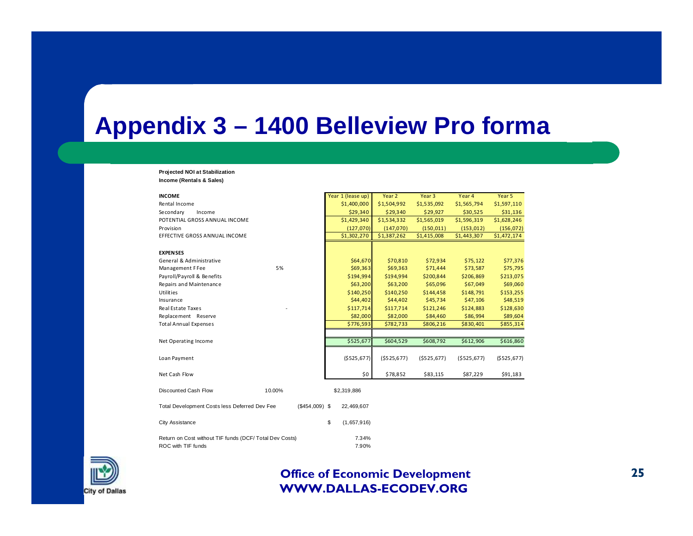### **Appendix 3 – 1400 Belleview Pro forma**

#### **Projected NOI at Stabilization Income (Rentals & Sales)**

| <b>INCOME</b>                                                    | Year 1 (lease up) | Year 2      | Year 3         | Year 4      | Year 5      |
|------------------------------------------------------------------|-------------------|-------------|----------------|-------------|-------------|
| Rental Income                                                    | \$1,400,000       | \$1,504,992 | \$1,535,092    | \$1,565,794 | \$1,597,110 |
| Secondary<br>Income                                              | \$29,340          | \$29,340    | \$29,927       | \$30,525    | \$31,136    |
| POTENTIAL GROSS ANNUAL INCOME                                    | \$1,429,340       | \$1,534,332 | \$1,565,019    | \$1,596,319 | \$1,628,246 |
| Provision                                                        | (127,070)         | (147,070)   | (150, 011)     | (153, 012)  | (156, 072)  |
| EFFECTIVE GROSS ANNUAL INCOME                                    | \$1,302,270       | \$1,387,262 | \$1,415,008    | \$1,443,307 | \$1,472,174 |
|                                                                  |                   |             |                |             |             |
| <b>EXPENSES</b>                                                  |                   |             |                |             |             |
| General & Administrative                                         | \$64,670          | \$70,810    | \$72,934       | \$75,122    | \$77,376    |
| 5%<br>Management F Fee                                           | \$69,363          | \$69,363    | \$71,444       | \$73,587    | \$75,795    |
| Payroll/Payroll & Benefits                                       | \$194,994         | \$194,994   | \$200,844      | \$206,869   | \$213,075   |
| Repairs and Maintenance                                          | \$63,200          | \$63,200    | \$65,096       | \$67,049    | \$69,060    |
| <b>Utilities</b>                                                 | \$140,250         | \$140,250   | \$144,458      | \$148,791   | \$153,255   |
| Insurance                                                        | \$44,402          | \$44,402    | \$45,734       | \$47,106    | \$48,519    |
| Real Estate Taxes                                                | \$117,714         | \$117,714   | \$121,246      | \$124,883   | \$128,630   |
| Replacement Reserve                                              | \$82,000          | \$82,000    | \$84,460       | \$86,994    | \$89,604    |
| <b>Total Annual Expenses</b>                                     | \$776,593         | \$782,733   | \$806,216      | \$830,401   | \$855,314   |
|                                                                  |                   |             |                |             |             |
| Net Operating Income                                             | \$525,677         | \$604,529   | \$608,792      | \$612,906   | \$616,860   |
| Loan Payment                                                     | (\$525,677)       | (5525, 677) | $($ \$525,677) | (\$525,677) | (\$525,677) |
| Net Cash Flow                                                    | \$0               | \$78,852    | \$83,115       | \$87,229    | \$91,183    |
| Discounted Cash Flow<br>10.00%                                   | \$2,319,886       |             |                |             |             |
| Total Development Costs less Deferred Dev Fee<br>$($454,009)$ \$ | 22,469,607        |             |                |             |             |
| City Assistance                                                  | \$<br>(1,657,916) |             |                |             |             |
| Return on Cost without TIF funds (DCF/ Total Dev Costs)          | 7.34%             |             |                |             |             |
| ROC with TIF funds                                               | 7.90%             |             |                |             |             |